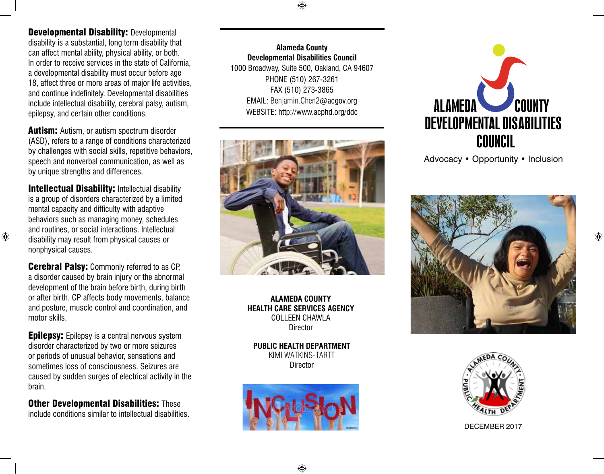♠

Developmental Disability: Developmental disability is a substantial, long term disability that can affect mental ability, physical ability, or both. In order to receive services in the state of California, a developmental disability must occur before age 18, affect three or more areas of major life activities, and continue indefinitely. Developmental disabilities include intellectual disability, cerebral palsy, autism, epilepsy, and certain other conditions.

**Autism:** Autism, or autism spectrum disorder (ASD), refers to a range of conditions characterized by challenges with social skills, repetitive behaviors, speech and nonverbal communication, as well as by unique strengths and differences.

**Intellectual Disability: Intellectual disability** is a group of disorders characterized by a limited mental capacity and difficulty with adaptive behaviors such as managing money, schedules and routines, or social interactions. Intellectual disability may result from physical causes or nonphysical causes.

⊕

**Cerebral Palsy:** Commonly referred to as CP, a disorder caused by brain injury or the abnormal development of the brain before birth, during birth or after birth. CP affects body movements, balance and posture, muscle control and coordination, and motor skills.

**Epilepsy:** Epilepsy is a central nervous system disorder characterized by two or more seizures or periods of unusual behavior, sensations and sometimes loss of consciousness. Seizures are caused by sudden surges of electrical activity in the brain.

**Other Developmental Disabilities: These** include conditions similar to intellectual disabilities.

**Alameda County Developmental Disabilities Council**  1000 Broadway, Suite 500, Oakland, CA 94607 PHONE (510) 267-3261 FAX (510) 273-3865 EMAIL: Benjamin.Chen2@acgov.org WEBSITE: http://www.acphd.org/ddc



**ALAMEDA COUNTY HEALTH CARE SERVICES AGENCY** COLLEEN CHAWLA Director

**PUBLIC HEALTH DEPARTMENT** KIMI WATKINS-TARTT **Director** 





Advocacy • Opportunity • Inclusion





DECEmber 2017